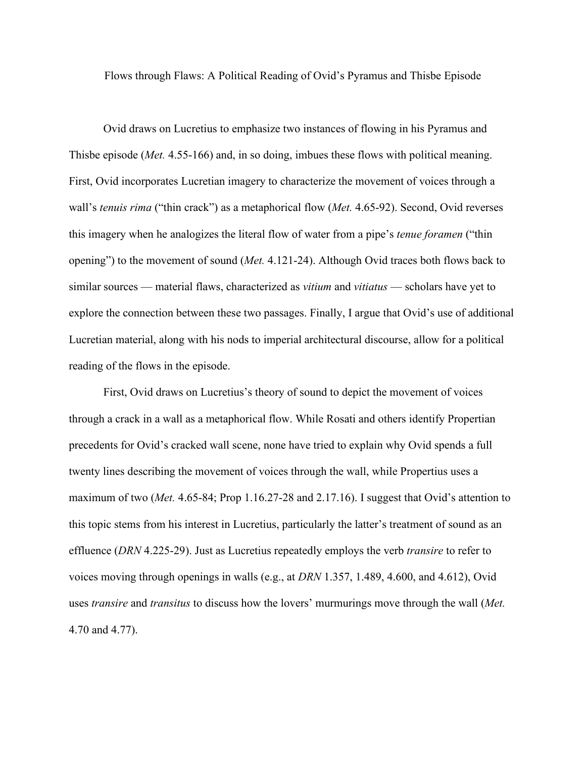Flows through Flaws: A Political Reading of Ovid's Pyramus and Thisbe Episode

Ovid draws on Lucretius to emphasize two instances of flowing in his Pyramus and Thisbe episode (*Met.* 4.55-166) and, in so doing, imbues these flows with political meaning. First, Ovid incorporates Lucretian imagery to characterize the movement of voices through a wall's *tenuis rima* ("thin crack") as a metaphorical flow (*Met.* 4.65-92). Second, Ovid reverses this imagery when he analogizes the literal flow of water from a pipe's *tenue foramen* ("thin opening") to the movement of sound (*Met.* 4.121-24). Although Ovid traces both flows back to similar sources — material flaws, characterized as *vitium* and *vitiatus* — scholars have yet to explore the connection between these two passages. Finally, I argue that Ovid's use of additional Lucretian material, along with his nods to imperial architectural discourse, allow for a political reading of the flows in the episode.

First, Ovid draws on Lucretius's theory of sound to depict the movement of voices through a crack in a wall as a metaphorical flow. While Rosati and others identify Propertian precedents for Ovid's cracked wall scene, none have tried to explain why Ovid spends a full twenty lines describing the movement of voices through the wall, while Propertius uses a maximum of two (*Met.* 4.65-84; Prop 1.16.27-28 and 2.17.16). I suggest that Ovid's attention to this topic stems from his interest in Lucretius, particularly the latter's treatment of sound as an effluence (*DRN* 4.225-29). Just as Lucretius repeatedly employs the verb *transire* to refer to voices moving through openings in walls (e.g., at *DRN* 1.357, 1.489, 4.600, and 4.612), Ovid uses *transire* and *transitus* to discuss how the lovers' murmurings move through the wall (*Met.* 4.70 and 4.77).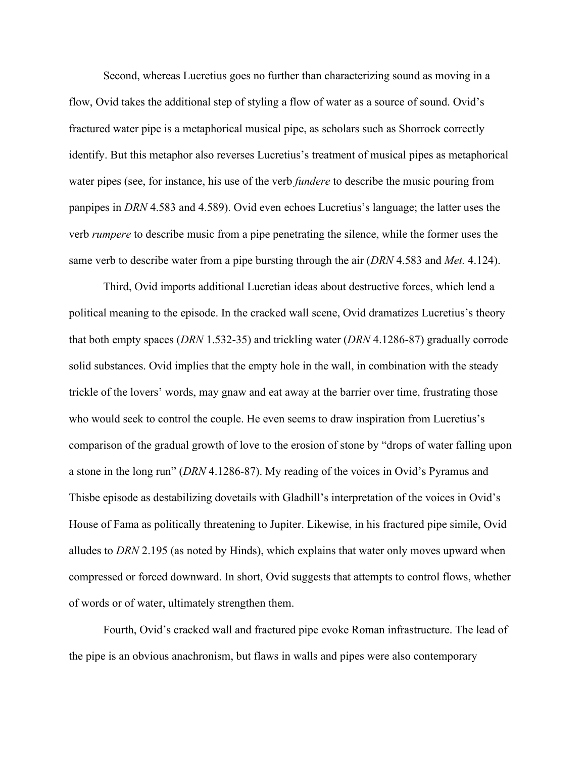Second, whereas Lucretius goes no further than characterizing sound as moving in a flow, Ovid takes the additional step of styling a flow of water as a source of sound. Ovid's fractured water pipe is a metaphorical musical pipe, as scholars such as Shorrock correctly identify. But this metaphor also reverses Lucretius's treatment of musical pipes as metaphorical water pipes (see, for instance, his use of the verb *fundere* to describe the music pouring from panpipes in *DRN* 4.583 and 4.589). Ovid even echoes Lucretius's language; the latter uses the verb *rumpere* to describe music from a pipe penetrating the silence, while the former uses the same verb to describe water from a pipe bursting through the air (*DRN* 4.583 and *Met.* 4.124).

Third, Ovid imports additional Lucretian ideas about destructive forces, which lend a political meaning to the episode. In the cracked wall scene, Ovid dramatizes Lucretius's theory that both empty spaces (*DRN* 1.532-35) and trickling water (*DRN* 4.1286-87) gradually corrode solid substances. Ovid implies that the empty hole in the wall, in combination with the steady trickle of the lovers' words, may gnaw and eat away at the barrier over time, frustrating those who would seek to control the couple. He even seems to draw inspiration from Lucretius's comparison of the gradual growth of love to the erosion of stone by "drops of water falling upon a stone in the long run" (*DRN* 4.1286-87). My reading of the voices in Ovid's Pyramus and Thisbe episode as destabilizing dovetails with Gladhill's interpretation of the voices in Ovid's House of Fama as politically threatening to Jupiter. Likewise, in his fractured pipe simile, Ovid alludes to *DRN* 2.195 (as noted by Hinds), which explains that water only moves upward when compressed or forced downward. In short, Ovid suggests that attempts to control flows, whether of words or of water, ultimately strengthen them.

 Fourth, Ovid's cracked wall and fractured pipe evoke Roman infrastructure. The lead of the pipe is an obvious anachronism, but flaws in walls and pipes were also contemporary